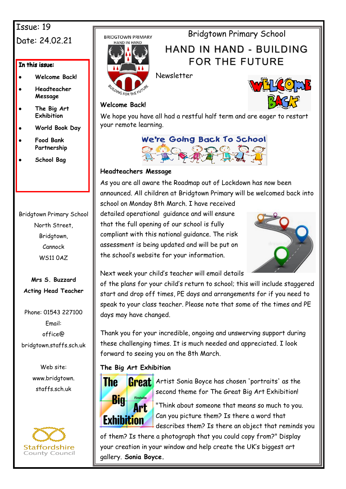# Issue: 19 Date: 24.02.21

#### In this issue:

- **Welcome Back!**
- **Headteacher Message**
- **The Big Art Exhibition**
- **World Book Day**
- **Food Bank Partnership**
- **School Bag**

### Bridgtown Primary School North Street, Bridgtown, Cannock WS11 0AZ

**Mrs S. Buzzard Acting Head Teacher**

Phone: 01543 227100 Email: office@ bridgtown.staffs.sch.uk

> Web site: www.bridgtown. staffs.sch.uk



**BRIDGTOWN PRIMARY** 



HAND IN HAND - BUILDING

# FOR THE FUTURE

Bridgtown Primary School



Newsletter



#### **Welcome Back!**

We hope you have all had a restful half term and are eager to restart your remote learning.

# We're Going Back To School

#### **Headteachers Message**

As you are all aware the Roadmap out of Lockdown has now been announced. All children at Bridgtown Primary will be welcomed back into

school on Monday 8th March. I have received detailed operational guidance and will ensure that the full opening of our school is fully compliant with this national guidance. The risk assessment is being updated and will be put on the school's website for your information.



Next week your child's teacher will email details

of the plans for your child's return to school; this will include staggered start and drop off times, PE days and arrangements for if you need to speak to your class teacher. Please note that some of the times and PE days may have changed.

Thank you for your incredible, ongoing and unswerving support during these challenging times. It is much needed and appreciated. I look forward to seeing you on the 8th March.

#### **The Big Art Exhibition**



Artist Sonia Boyce has chosen 'portraits' as the second theme for The Great Big Art Exhibition!

"Think about someone that means so much to you. Can you picture them? Is there a word that describes them? Is there an object that reminds you

of them? Is there a photograph that you could copy from?" Display your creation in your window and help create the UK's biggest art gallery. **Sonia Boyce.**